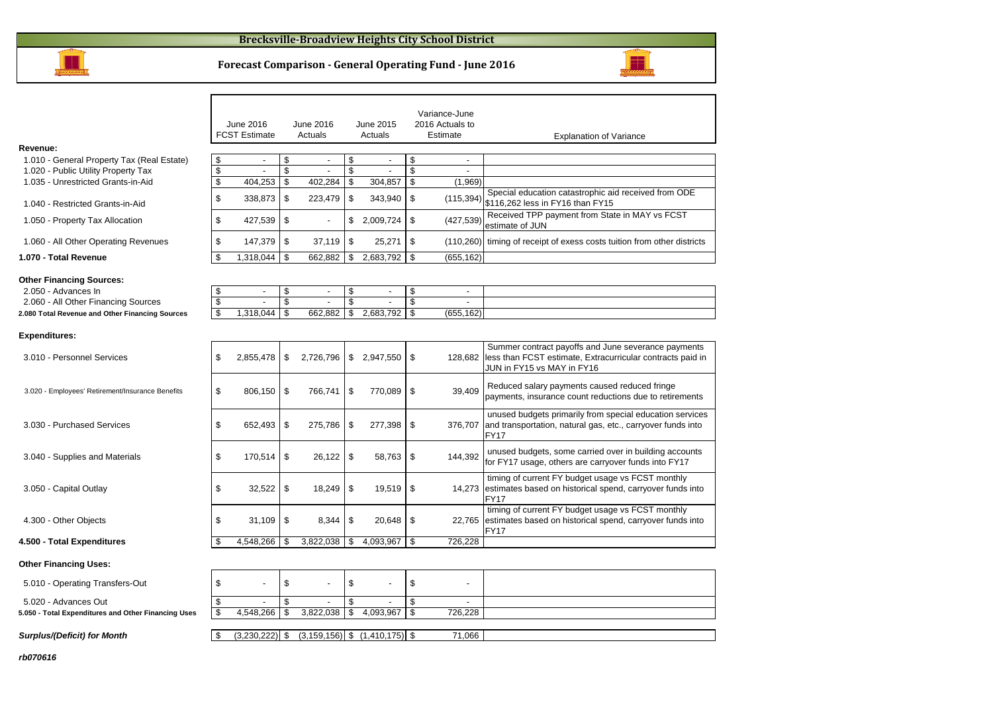

### **Forecast Comparison - General Operating Fund - June 2016**

|                                                                                                                                                  |                                     | June 2016<br><b>FCST Estimate</b>                                 |                | June 2016<br>Actuals                |                | June 2015<br>Actuals                                    |                | Variance-June<br>2016 Actuals to<br>Estimate             | <b>Explanation of Variance</b>                                                                                                                  |
|--------------------------------------------------------------------------------------------------------------------------------------------------|-------------------------------------|-------------------------------------------------------------------|----------------|-------------------------------------|----------------|---------------------------------------------------------|----------------|----------------------------------------------------------|-------------------------------------------------------------------------------------------------------------------------------------------------|
| Revenue:<br>1.010 - General Property Tax (Real Estate)                                                                                           | \$                                  | $\overline{\phantom{a}}$                                          | \$             | $\overline{\phantom{a}}$            | \$             | $\overline{\phantom{a}}$                                | \$             | $\overline{\phantom{a}}$                                 |                                                                                                                                                 |
| 1.020 - Public Utility Property Tax                                                                                                              | \$                                  | ÷,                                                                | \$             |                                     | $$\mathbb{S}$$ | $\overline{\phantom{a}}$                                | \$             | $\overline{a}$                                           |                                                                                                                                                 |
| 1.035 - Unrestricted Grants-in-Aid                                                                                                               | \$                                  | 404,253                                                           | \$             | 402,284                             | \$             | 304,857                                                 | \$             | (1,969)                                                  |                                                                                                                                                 |
| 1.040 - Restricted Grants-in-Aid                                                                                                                 | \$                                  | 338,873                                                           | \$             | 223,479                             | \$             | 343,940                                                 | \$             | (115, 394)                                               | Special education catastrophic aid received from ODE<br>\$116,262 less in FY16 than FY15                                                        |
| 1.050 - Property Tax Allocation                                                                                                                  | \$                                  | 427,539                                                           | \$             |                                     |                | \$2,009,724                                             | \$             | (427, 539)                                               | Received TPP payment from State in MAY vs FCST<br>estimate of JUN                                                                               |
| 1.060 - All Other Operating Revenues                                                                                                             | \$                                  | 147,379                                                           | \$             | 37,119                              | \$             | 25,271                                                  | \$             |                                                          | (110,260) timing of receipt of exess costs tuition from other districts                                                                         |
| 1.070 - Total Revenue                                                                                                                            | \$                                  | 1,318,044                                                         | \$             | 662,882                             | \$             | 2,683,792                                               | \$             | (655, 162)                                               |                                                                                                                                                 |
| <b>Other Financing Sources:</b><br>2.050 - Advances In<br>2.060 - All Other Financing Sources<br>2.080 Total Revenue and Other Financing Sources | \$<br>$\sqrt[6]{\frac{1}{2}}$<br>\$ | $\overline{\phantom{a}}$<br>$\overline{\phantom{a}}$<br>1.318.044 | \$<br>\$<br>\$ | $\overline{\phantom{a}}$<br>662.882 | \$<br>\$<br>\$ | $\overline{\phantom{a}}$<br>$\overline{a}$<br>2,683,792 | \$<br>\$<br>\$ | $\overline{\phantom{a}}$<br>$\overline{a}$<br>(655, 162) |                                                                                                                                                 |
|                                                                                                                                                  |                                     |                                                                   |                |                                     |                |                                                         |                |                                                          |                                                                                                                                                 |
| <b>Expenditures:</b>                                                                                                                             |                                     |                                                                   |                |                                     |                |                                                         |                |                                                          |                                                                                                                                                 |
| 3.010 - Personnel Services                                                                                                                       | \$                                  | 2,855,478                                                         | \$             | 2,726,796                           |                | \$2,947,550                                             | \$             | 128.682                                                  | Summer contract payoffs and June severance payments<br>less than FCST estimate, Extracurricular contracts paid in<br>JUN in FY15 vs MAY in FY16 |
| 3.020 - Employees' Retirement/Insurance Benefits                                                                                                 | \$                                  | 806,150                                                           | \$             | 766,741                             | \$             | 770,089                                                 | \$             | 39,409                                                   | Reduced salary payments caused reduced fringe<br>payments, insurance count reductions due to retirements                                        |
| 3.030 - Purchased Services                                                                                                                       | \$                                  | 652,493                                                           | \$             | 275,786                             | \$             | 277,398                                                 | \$             | 376,707                                                  | unused budgets primarily from special education services<br>and transportation, natural gas, etc., carryover funds into<br><b>FY17</b>          |
| 3.040 - Supplies and Materials                                                                                                                   | \$                                  | 170,514                                                           | \$             | 26,122                              | \$             | 58,763                                                  | \$             | 144,392                                                  | unused budgets, some carried over in building accounts<br>for FY17 usage, others are carryover funds into FY17                                  |
| 3.050 - Capital Outlay                                                                                                                           | \$                                  | 32,522                                                            | \$             | 18,249                              | \$             | 19,519                                                  | \$             | 14,273                                                   | timing of current FY budget usage vs FCST monthly<br>estimates based on historical spend, carryover funds into<br>FY17                          |
| 4.300 - Other Objects                                                                                                                            | \$                                  | 31.109                                                            | \$             | 8.344                               | \$             | 20,648                                                  | \$             | 22.765                                                   | timing of current FY budget usage vs FCST monthly<br>estimates based on historical spend, carryover funds into<br><b>FY17</b>                   |
| 4.500 - Total Expenditures                                                                                                                       | \$                                  | 4,548,266                                                         | \$             | 3,822,038                           | \$             | 4,093,967                                               | \$             | 726,228                                                  |                                                                                                                                                 |
| <b>Other Financing Uses:</b>                                                                                                                     |                                     |                                                                   |                |                                     |                |                                                         |                |                                                          |                                                                                                                                                 |
| 5.010 - Operating Transfers-Out                                                                                                                  | \$                                  | ÷,                                                                | \$             |                                     | \$             | $\overline{a}$                                          | \$             | $\overline{a}$                                           |                                                                                                                                                 |
| 5.020 - Advances Out                                                                                                                             | \$                                  |                                                                   | \$             |                                     | \$             |                                                         | \$             | $\overline{a}$                                           |                                                                                                                                                 |
| 5.050 - Total Expenditures and Other Financing Uses                                                                                              | \$                                  | 4,548,266                                                         | \$             | 3,822,038                           | \$             | 4,093,967                                               | \$             | 726,228                                                  |                                                                                                                                                 |
|                                                                                                                                                  |                                     |                                                                   |                |                                     |                |                                                         |                |                                                          |                                                                                                                                                 |
| <b>Surplus/(Deficit) for Month</b>                                                                                                               | \$                                  | $(3,230,222)$ \$                                                  |                |                                     |                | $(3, 159, 156)$ \$ $(1, 410, 175)$ \$                   |                | 71,066                                                   |                                                                                                                                                 |

**rb070616**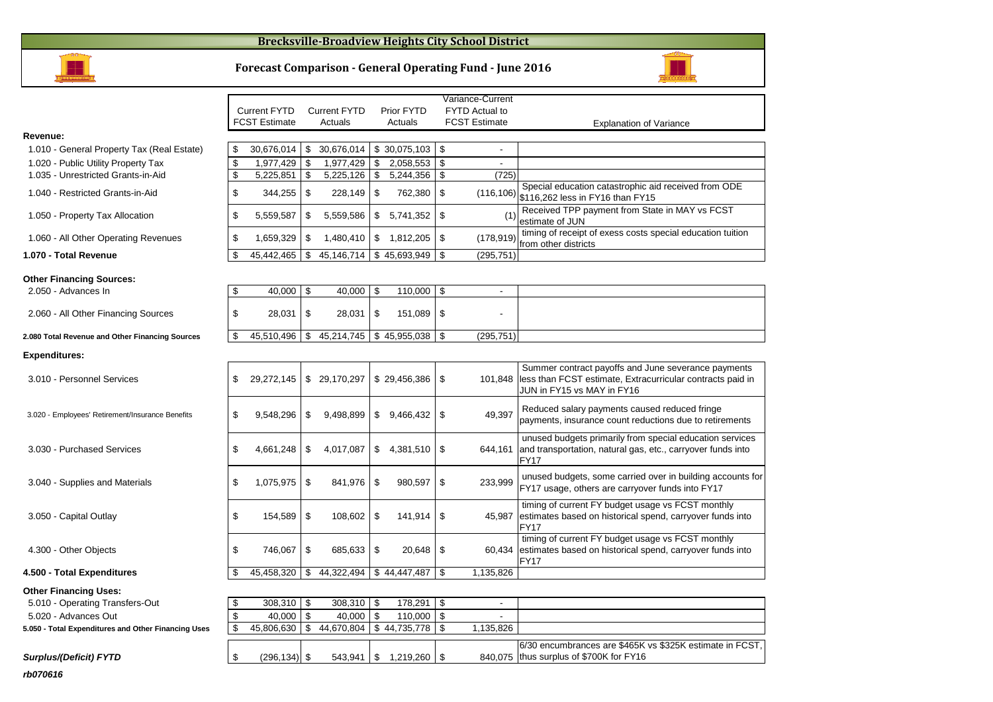#### **Brecksville-Broadview Heights City School District**



2.050 - Advances In

**Expenditures:**

**Revenue:**

**Forecast Comparison - General Operating Fund - June 2016**



#### **Other Financing Uses:**

**Surplus/(Deficit) FYTD**

| 5.010 - Operating Transfers-Out                     | 308,310    |
|-----------------------------------------------------|------------|
| 5.020 - Advances Out                                | 40,000     |
| 5.050 - Total Expenditures and Other Financing Uses | 45,806,630 |

| เทรfers-Out              | $308.310$ S   |     | 308.310    | 178.291              |          |                                                          |
|--------------------------|---------------|-----|------------|----------------------|----------|----------------------------------------------------------|
|                          | $40.000$ \ \$ |     | 40.000     | $110.000$ $\sqrt{5}$ |          |                                                          |
| and Other Financing Uses | 45.806.630    | 1 S | 44.670.804 | $$44.735.778 \&~$    | .135.826 |                                                          |
|                          |               |     |            |                      |          |                                                          |
|                          |               |     |            |                      |          | 6/30 encumbrances are \$465K vs \$325K estimate in FCST, |
| D                        |               |     | 543.941    | $1.219.260$ S        |          | 840.075 thus surplus of \$700K for FY16                  |
|                          |               |     |            |                      |          |                                                          |

**rb070616**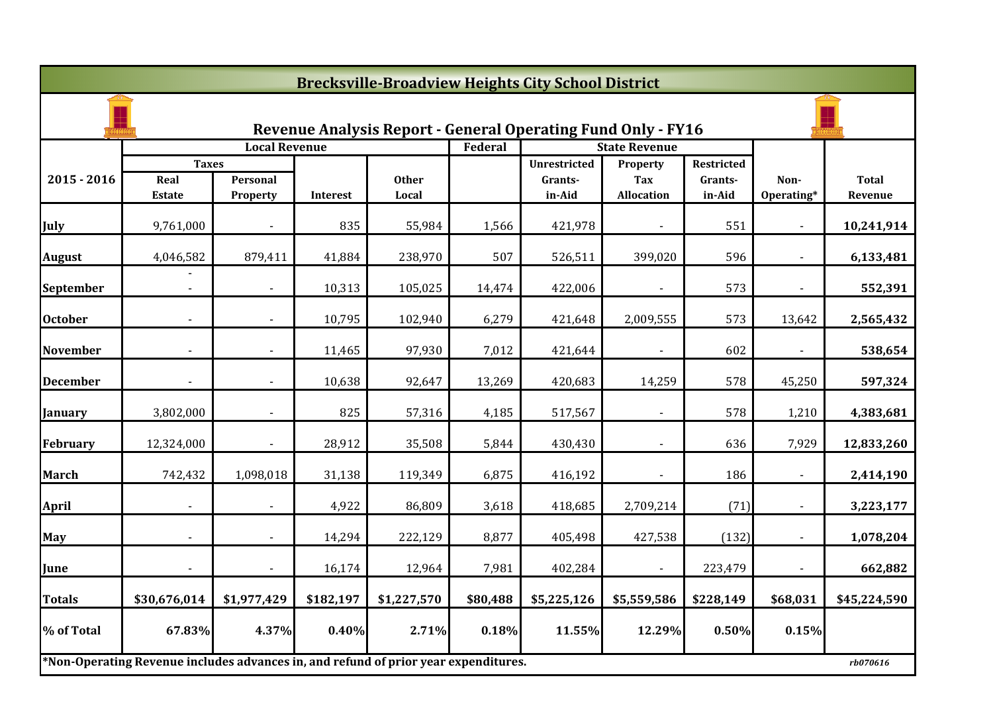|                 |                                                                                     |                      |           | <b>Brecksville-Broadview Heights City School District</b>           |          |                     |                          |                   |                    |                         |
|-----------------|-------------------------------------------------------------------------------------|----------------------|-----------|---------------------------------------------------------------------|----------|---------------------|--------------------------|-------------------|--------------------|-------------------------|
|                 |                                                                                     |                      |           | <b>Revenue Analysis Report - General Operating Fund Only - FY16</b> |          |                     |                          |                   |                    |                         |
|                 |                                                                                     | <b>Local Revenue</b> |           |                                                                     | Federal  |                     | <b>State Revenue</b>     |                   |                    |                         |
|                 | <b>Taxes</b>                                                                        |                      |           |                                                                     |          | <b>Unrestricted</b> | Property                 | Restricted        |                    |                         |
| $2015 - 2016$   | Real<br><b>Estate</b>                                                               | Personal<br>Property | Interest  | <b>Other</b><br>Local                                               |          | Grants-<br>in-Aid   | Tax<br><b>Allocation</b> | Grants-<br>in-Aid | Non-<br>Operating* | <b>Total</b><br>Revenue |
| July            | 9,761,000                                                                           |                      | 835       | 55,984                                                              | 1,566    | 421,978             |                          | 551               |                    | 10,241,914              |
| <b>August</b>   | 4,046,582                                                                           | 879,411              | 41,884    | 238,970                                                             | 507      | 526,511             | 399,020                  | 596               |                    | 6,133,481               |
| September       | $\blacksquare$                                                                      | $\sim$               | 10,313    | 105,025                                                             | 14,474   | 422,006             | $\blacksquare$           | 573               |                    | 552,391                 |
| <b>October</b>  |                                                                                     |                      | 10,795    | 102,940                                                             | 6,279    | 421,648             | 2,009,555                | 573               | 13,642             | 2,565,432               |
| <b>November</b> |                                                                                     |                      | 11,465    | 97,930                                                              | 7,012    | 421,644             |                          | 602               |                    | 538,654                 |
| <b>December</b> |                                                                                     |                      | 10,638    | 92,647                                                              | 13,269   | 420,683             | 14,259                   | 578               | 45,250             | 597,324                 |
| January         | 3,802,000                                                                           |                      | 825       | 57,316                                                              | 4,185    | 517,567             |                          | 578               | 1,210              | 4,383,681               |
| <b>February</b> | 12,324,000                                                                          | $\sim$               | 28,912    | 35,508                                                              | 5,844    | 430,430             | $\blacksquare$           | 636               | 7,929              | 12,833,260              |
| <b>March</b>    | 742,432                                                                             | 1,098,018            | 31,138    | 119,349                                                             | 6,875    | 416,192             |                          | 186               |                    | 2,414,190               |
| <b>April</b>    |                                                                                     |                      | 4,922     | 86,809                                                              | 3,618    | 418,685             | 2,709,214                | (71)              |                    | 3,223,177               |
| <b>May</b>      |                                                                                     |                      | 14,294    | 222,129                                                             | 8,877    | 405,498             | 427,538                  | (132)             |                    | 1,078,204               |
| June            |                                                                                     |                      | 16,174    | 12,964                                                              | 7,981    | 402,284             |                          | 223,479           |                    | 662,882                 |
| <b>Totals</b>   | \$30,676,014                                                                        | \$1,977,429          | \$182,197 | \$1,227,570                                                         | \$80,488 | \$5,225,126         | \$5,559,586              | \$228,149         | \$68,031           | \$45,224,590            |
| % of Total      | 67.83%                                                                              | 4.37%                | 0.40%     | 2.71%                                                               | 0.18%    | 11.55%              | 12.29%                   | 0.50%             | 0.15%              |                         |
|                 | *Non-Operating Revenue includes advances in, and refund of prior year expenditures. |                      |           |                                                                     |          |                     |                          |                   |                    | rb070616                |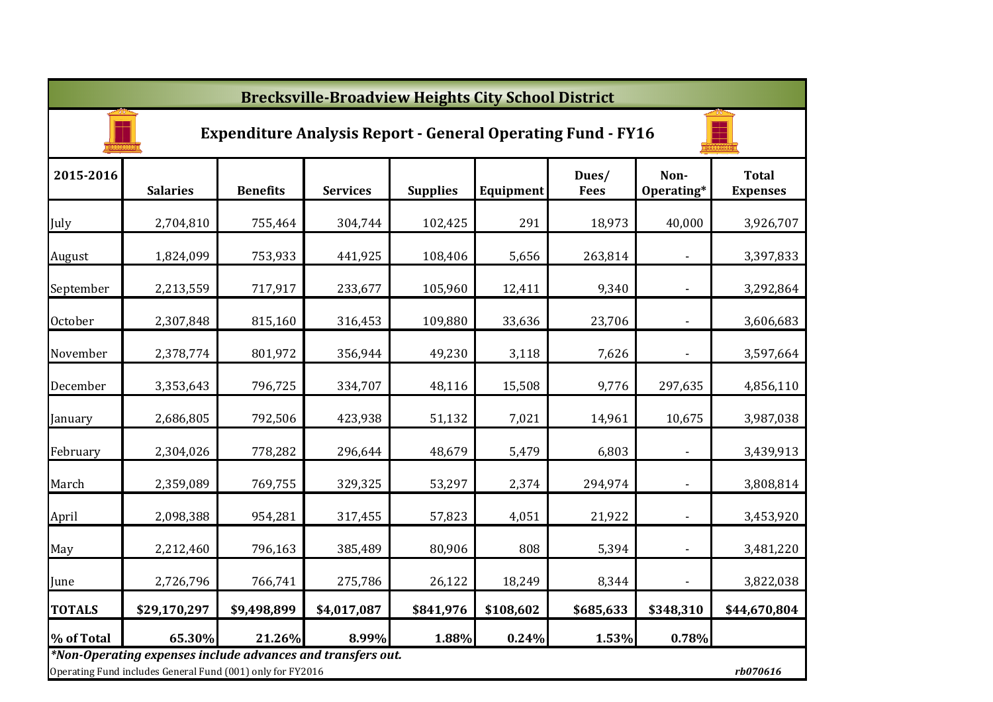|               | <b>Brecksville-Broadview Heights City School District</b>                                                                 |                 |                 |                 |           |                      |                          |                                 |  |  |  |  |
|---------------|---------------------------------------------------------------------------------------------------------------------------|-----------------|-----------------|-----------------|-----------|----------------------|--------------------------|---------------------------------|--|--|--|--|
|               | <b>Expenditure Analysis Report - General Operating Fund - FY16</b>                                                        |                 |                 |                 |           |                      |                          |                                 |  |  |  |  |
| 2015-2016     | <b>Salaries</b>                                                                                                           | <b>Benefits</b> | <b>Services</b> | <b>Supplies</b> | Equipment | Dues/<br><b>Fees</b> | Non-<br>Operating*       | <b>Total</b><br><b>Expenses</b> |  |  |  |  |
| July          | 2,704,810                                                                                                                 | 755,464         | 304,744         | 102,425         | 291       | 18,973               | 40,000                   | 3,926,707                       |  |  |  |  |
| August        | 1,824,099                                                                                                                 | 753,933         | 441,925         | 108,406         | 5,656     | 263,814              |                          | 3,397,833                       |  |  |  |  |
| September     | 2,213,559                                                                                                                 | 717,917         | 233,677         | 105,960         | 12,411    | 9,340                |                          | 3,292,864                       |  |  |  |  |
| October       | 2,307,848                                                                                                                 | 815,160         | 316,453         | 109,880         | 33,636    | 23,706               |                          | 3,606,683                       |  |  |  |  |
| November      | 2,378,774                                                                                                                 | 801,972         | 356,944         | 49,230          | 3,118     | 7,626                |                          | 3,597,664                       |  |  |  |  |
| December      | 3,353,643                                                                                                                 | 796,725         | 334,707         | 48,116          | 15,508    | 9,776                | 297,635                  | 4,856,110                       |  |  |  |  |
| January       | 2,686,805                                                                                                                 | 792,506         | 423,938         | 51,132          | 7,021     | 14,961               | 10,675                   | 3,987,038                       |  |  |  |  |
| February      | 2,304,026                                                                                                                 | 778,282         | 296,644         | 48,679          | 5,479     | 6,803                | $\blacksquare$           | 3,439,913                       |  |  |  |  |
| March         | 2,359,089                                                                                                                 | 769,755         | 329,325         | 53,297          | 2,374     | 294,974              | $\overline{\phantom{a}}$ | 3,808,814                       |  |  |  |  |
| April         | 2,098,388                                                                                                                 | 954,281         | 317,455         | 57,823          | 4,051     | 21,922               | $\overline{\phantom{a}}$ | 3,453,920                       |  |  |  |  |
| May           | 2,212,460                                                                                                                 | 796,163         | 385,489         | 80,906          | 808       | 5,394                | $\blacksquare$           | 3,481,220                       |  |  |  |  |
| June          | 2,726,796                                                                                                                 | 766,741         | 275,786         | 26,122          | 18,249    | 8,344                | $\overline{\phantom{a}}$ | 3,822,038                       |  |  |  |  |
| <b>TOTALS</b> | \$29,170,297                                                                                                              | \$9,498,899     | \$4,017,087     | \$841,976       | \$108,602 | \$685,633            | \$348,310                | \$44,670,804                    |  |  |  |  |
| % of Total    | 65.30%                                                                                                                    | 21.26%          | 8.99%           | 1.88%           | 0.24%     | 1.53%                | 0.78%                    |                                 |  |  |  |  |
|               | *Non-Operating expenses include advances and transfers out.<br>Operating Fund includes General Fund (001) only for FY2016 |                 |                 |                 |           |                      |                          | rb070616                        |  |  |  |  |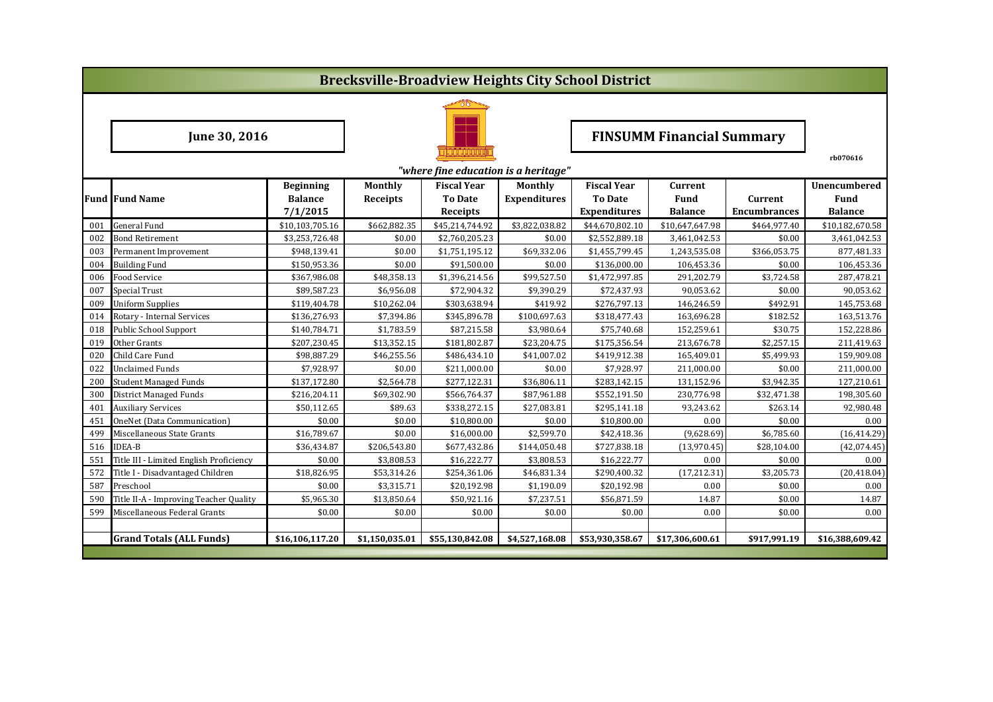|     | <b>Brecksville-Broadview Heights City School District</b> |                  |                |                                      |                     |                     |                                  |                     |                 |  |  |  |
|-----|-----------------------------------------------------------|------------------|----------------|--------------------------------------|---------------------|---------------------|----------------------------------|---------------------|-----------------|--|--|--|
|     |                                                           |                  |                |                                      |                     |                     |                                  |                     |                 |  |  |  |
|     | June 30, 2016                                             |                  |                |                                      |                     |                     | <b>FINSUMM Financial Summary</b> |                     |                 |  |  |  |
|     |                                                           |                  |                | "where fine education is a heritage" |                     |                     |                                  |                     | rb070616        |  |  |  |
|     |                                                           | <b>Beginning</b> | <b>Monthly</b> | <b>Fiscal Year</b>                   | Monthly             | <b>Fiscal Year</b>  | Current                          |                     | Unencumbered    |  |  |  |
|     | <b>Fund Fund Name</b>                                     | <b>Balance</b>   | Receipts       | <b>To Date</b>                       | <b>Expenditures</b> | <b>To Date</b>      | Fund                             | Current             | Fund            |  |  |  |
|     |                                                           | 7/1/2015         |                | Receipts                             |                     | <b>Expenditures</b> | <b>Balance</b>                   | <b>Encumbrances</b> | <b>Balance</b>  |  |  |  |
| 001 | <b>General Fund</b>                                       | \$10,103,705.16  | \$662,882.35   | \$45,214,744.92                      | \$3,822,038.82      | \$44.670.802.10     | \$10.647.647.98                  | \$464,977.40        | \$10,182,670.58 |  |  |  |
| 002 | <b>Bond Retirement</b>                                    | \$3,253,726.48   | \$0.00         | \$2,760,205.23                       | \$0.00              | \$2,552,889.18      | 3,461,042.53                     | \$0.00              | 3,461,042.53    |  |  |  |
| 003 | Permanent Improvement                                     | \$948,139.41     | \$0.00         | \$1,751,195.12                       | \$69,332.06         | \$1,455,799.45      | 1,243,535.08                     | \$366,053.75        | 877,481.33      |  |  |  |
| 004 | <b>Building Fund</b>                                      | \$150,953.36     | \$0.00         | \$91,500.00                          | \$0.00              | \$136,000.00        | 106,453.36                       | \$0.00              | 106,453.36      |  |  |  |
| 006 | <b>Food Service</b>                                       | \$367,986.08     | \$48,358.13    | \$1,396,214.56                       | \$99,527.50         | \$1,472,997.85      | 291,202.79                       | \$3,724.58          | 287,478.21      |  |  |  |
| 007 | <b>Special Trust</b>                                      | \$89,587.23      | \$6,956.08     | \$72,904.32                          | \$9,390.29          | \$72,437.93         | 90,053.62                        | \$0.00              | 90,053.62       |  |  |  |
| 009 | <b>Uniform Supplies</b>                                   | \$119,404.78     | \$10,262.04    | \$303,638.94                         | \$419.92            | \$276,797.13        | 146,246.59                       | \$492.91            | 145,753.68      |  |  |  |
| 014 | Rotary - Internal Services                                | \$136,276.93     | \$7,394.86     | \$345,896.78                         | \$100,697.63        | \$318,477.43        | 163,696.28                       | \$182.52            | 163,513.76      |  |  |  |
| 018 | <b>Public School Support</b>                              | \$140,784.71     | \$1,783.59     | \$87,215.58                          | \$3,980.64          | \$75,740.68         | 152,259.61                       | \$30.75             | 152,228.86      |  |  |  |
| 019 | Other Grants                                              | \$207,230.45     | \$13,352.15    | \$181,802.87                         | \$23,204.75         | \$175,356.54        | 213,676.78                       | \$2,257.15          | 211,419.63      |  |  |  |
| 020 | Child Care Fund                                           | \$98,887.29      | \$46,255.56    | \$486,434.10                         | \$41,007.02         | \$419,912.38        | 165,409.01                       | \$5,499.93          | 159,909.08      |  |  |  |
| 022 | <b>Unclaimed Funds</b>                                    | \$7,928.97       | \$0.00         | \$211,000.00                         | \$0.00              | \$7,928.97          | 211,000.00                       | \$0.00              | 211,000.00      |  |  |  |
| 200 | <b>Student Managed Funds</b>                              | \$137,172.80     | \$2,564.78     | \$277,122.31                         | \$36,806.11         | \$283,142.15        | 131,152.96                       | \$3,942.35          | 127,210.61      |  |  |  |
| 300 | <b>District Managed Funds</b>                             | \$216,204.11     | \$69,302.90    | \$566,764.37                         | \$87,961.88         | \$552,191.50        | 230,776.98                       | \$32,471.38         | 198,305.60      |  |  |  |
| 401 | <b>Auxiliary Services</b>                                 | \$50,112.65      | \$89.63        | \$338,272.15                         | \$27,083.81         | \$295,141.18        | 93,243.62                        | \$263.14            | 92,980.48       |  |  |  |
| 451 | <b>OneNet (Data Communication)</b>                        | \$0.00           | \$0.00         | \$10,800.00                          | \$0.00              | \$10,800.00         | 0.00                             | \$0.00              | 0.00            |  |  |  |
| 499 | Miscellaneous State Grants                                | \$16,789.67      | \$0.00         | \$16,000.00                          | \$2,599.70          | \$42,418.36         | (9,628.69)                       | \$6,785.60          | (16, 414.29)    |  |  |  |
| 516 | <b>IDEA-B</b>                                             | \$36,434.87      | \$206,543.80   | \$677,432.86                         | \$144,050.48        | \$727,838.18        | (13,970.45)                      | \$28,104.00         | (42,074.45)     |  |  |  |
| 551 | Title III - Limited English Proficiency                   | \$0.00           | \$3,808.53     | \$16,222.77                          | \$3,808.53          | \$16,222.77         | 0.00                             | \$0.00              | 0.00            |  |  |  |
| 572 | Title I - Disadvantaged Children                          | \$18,826.95      | \$53,314.26    | \$254,361.06                         | \$46,831.34         | \$290,400.32        | (17, 212.31)                     | \$3,205.73          | (20, 418.04)    |  |  |  |
| 587 | Preschool                                                 | \$0.00           | \$3,315.71     | \$20,192.98                          | \$1,190.09          | \$20,192.98         | 0.00                             | \$0.00              | 0.00            |  |  |  |
| 590 | Title II-A - Improving Teacher Quality                    | \$5,965.30       | \$13,850.64    | \$50,921.16                          | \$7,237.51          | \$56,871.59         | 14.87                            | \$0.00              | 14.87           |  |  |  |
| 599 | Miscellaneous Federal Grants                              | \$0.00           | \$0.00         | \$0.00                               | \$0.00              | \$0.00              | 0.00                             | \$0.00              | 0.00            |  |  |  |
|     |                                                           |                  |                |                                      |                     |                     |                                  |                     |                 |  |  |  |
|     | <b>Grand Totals (ALL Funds)</b>                           | \$16,106,117.20  | \$1,150,035.01 | \$55,130,842.08                      | \$4,527,168.08      | \$53,930,358.67     | \$17,306,600.61                  | \$917,991.19        | \$16,388,609.42 |  |  |  |
|     |                                                           |                  |                |                                      |                     |                     |                                  |                     |                 |  |  |  |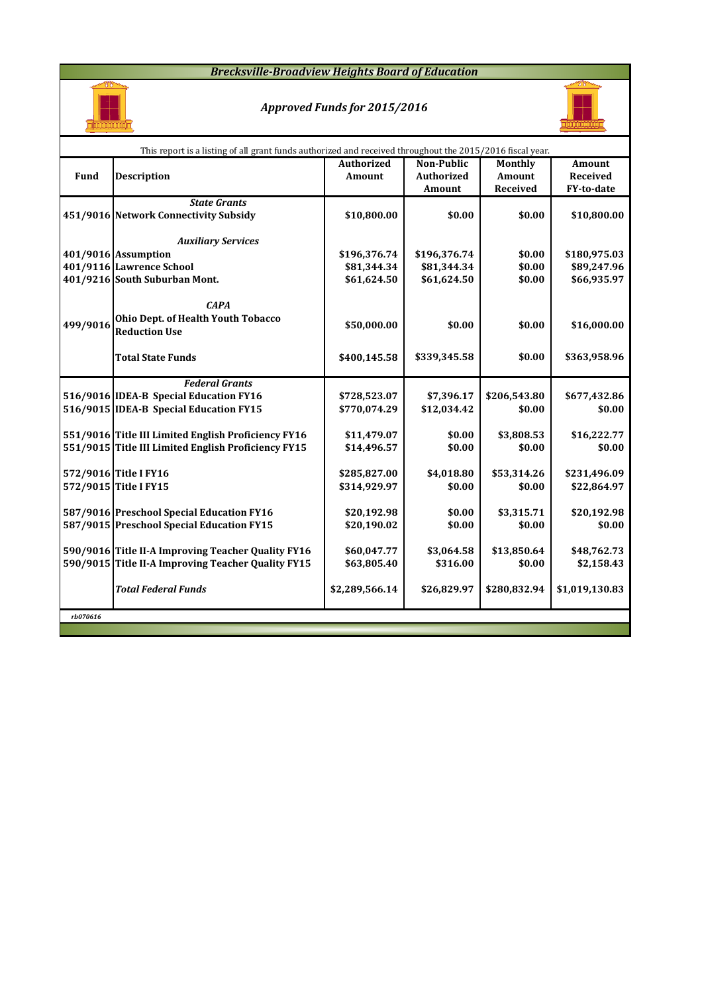#### *Brecksville-Broadview Heights Board of Education*



## *Approved Funds for 2015/2016*



|          | This report is a listing of all grant funds authorized and received throughout the 2015/2016 fiscal year. |                   |                   |                |                |  |  |  |  |  |  |  |
|----------|-----------------------------------------------------------------------------------------------------------|-------------------|-------------------|----------------|----------------|--|--|--|--|--|--|--|
|          |                                                                                                           | <b>Authorized</b> | <b>Non-Public</b> | <b>Monthly</b> | <b>Amount</b>  |  |  |  |  |  |  |  |
| Fund     | <b>Description</b>                                                                                        | Amount            | <b>Authorized</b> | Amount         | Received       |  |  |  |  |  |  |  |
|          |                                                                                                           |                   | Amount            | Received       | FY-to-date     |  |  |  |  |  |  |  |
|          | <b>State Grants</b>                                                                                       |                   |                   |                |                |  |  |  |  |  |  |  |
|          | 451/9016 Network Connectivity Subsidy                                                                     | \$10,800.00       | \$0.00            | \$0.00         | \$10,800.00    |  |  |  |  |  |  |  |
|          |                                                                                                           |                   |                   |                |                |  |  |  |  |  |  |  |
|          | <b>Auxiliary Services</b>                                                                                 |                   |                   |                |                |  |  |  |  |  |  |  |
|          | 401/9016 Assumption                                                                                       | \$196,376.74      | \$196,376.74      | \$0.00         | \$180,975.03   |  |  |  |  |  |  |  |
|          | 401/9116 Lawrence School                                                                                  | \$81,344.34       | \$81,344.34       | \$0.00         | \$89,247.96    |  |  |  |  |  |  |  |
|          | 401/9216 South Suburban Mont.                                                                             | \$61,624.50       | \$61,624.50       | \$0.00         | \$66,935.97    |  |  |  |  |  |  |  |
|          |                                                                                                           |                   |                   |                |                |  |  |  |  |  |  |  |
|          | <b>CAPA</b>                                                                                               |                   |                   |                |                |  |  |  |  |  |  |  |
| 499/9016 | Ohio Dept. of Health Youth Tobacco                                                                        | \$50,000.00       | \$0.00            | \$0.00         | \$16,000.00    |  |  |  |  |  |  |  |
|          | <b>Reduction Use</b>                                                                                      |                   |                   |                |                |  |  |  |  |  |  |  |
|          | <b>Total State Funds</b>                                                                                  | \$400,145.58      | \$339,345.58      | \$0.00         | \$363,958.96   |  |  |  |  |  |  |  |
|          |                                                                                                           |                   |                   |                |                |  |  |  |  |  |  |  |
|          | <b>Federal Grants</b>                                                                                     |                   |                   |                |                |  |  |  |  |  |  |  |
|          | 516/9016 IDEA-B Special Education FY16                                                                    | \$728,523.07      | \$7,396.17        | \$206,543.80   | \$677,432.86   |  |  |  |  |  |  |  |
|          | 516/9015 IDEA-B Special Education FY15                                                                    | \$770,074.29      | \$12,034.42       | \$0.00         | \$0.00         |  |  |  |  |  |  |  |
|          |                                                                                                           |                   |                   |                |                |  |  |  |  |  |  |  |
|          | 551/9016 Title III Limited English Proficiency FY16                                                       | \$11,479.07       | \$0.00            | \$3,808.53     | \$16,222.77    |  |  |  |  |  |  |  |
|          | 551/9015 Title III Limited English Proficiency FY15                                                       | \$14,496.57       | \$0.00            | \$0.00         | \$0.00         |  |  |  |  |  |  |  |
|          |                                                                                                           |                   |                   |                |                |  |  |  |  |  |  |  |
|          | 572/9016 Title I FY16                                                                                     | \$285,827.00      | \$4,018.80        | \$53,314.26    | \$231,496.09   |  |  |  |  |  |  |  |
|          | 572/9015 Title I FY15                                                                                     | \$314,929.97      | \$0.00            | \$0.00         | \$22,864.97    |  |  |  |  |  |  |  |
|          |                                                                                                           |                   |                   |                |                |  |  |  |  |  |  |  |
|          | 587/9016 Preschool Special Education FY16                                                                 | \$20,192.98       | \$0.00            | \$3,315.71     | \$20,192.98    |  |  |  |  |  |  |  |
|          | 587/9015 Preschool Special Education FY15                                                                 | \$20,190.02       | \$0.00            | \$0.00         | \$0.00         |  |  |  |  |  |  |  |
|          |                                                                                                           |                   |                   |                |                |  |  |  |  |  |  |  |
|          | 590/9016 Title II-A Improving Teacher Quality FY16                                                        | \$60,047.77       | \$3,064.58        | \$13,850.64    | \$48,762.73    |  |  |  |  |  |  |  |
|          | 590/9015 Title II-A Improving Teacher Quality FY15                                                        | \$63,805.40       | \$316.00          | \$0.00         | \$2,158.43     |  |  |  |  |  |  |  |
|          |                                                                                                           |                   |                   |                |                |  |  |  |  |  |  |  |
|          | <b>Total Federal Funds</b>                                                                                | \$2,289,566.14    | \$26,829.97       | \$280,832.94   | \$1,019,130.83 |  |  |  |  |  |  |  |
|          |                                                                                                           |                   |                   |                |                |  |  |  |  |  |  |  |
| rb070616 |                                                                                                           |                   |                   |                |                |  |  |  |  |  |  |  |
|          |                                                                                                           |                   |                   |                |                |  |  |  |  |  |  |  |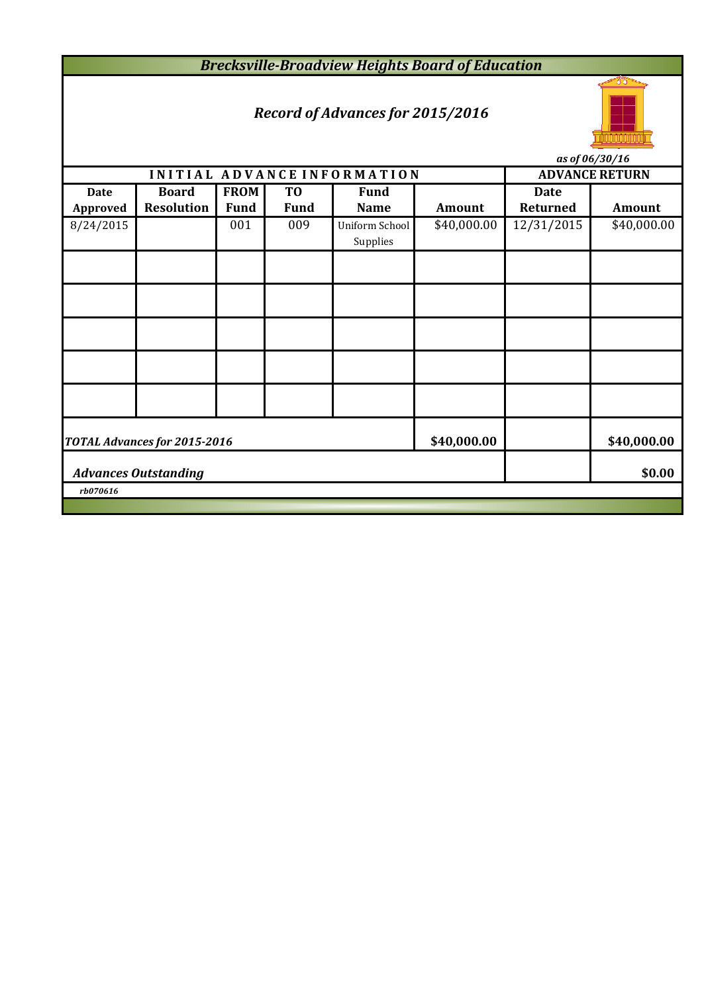*Brecksville-Broadview Heights Board of Education*

# *Record of Advances for 2015/2016*



*as of 06/30/16*

|                                                            | ub vj vv <sub>l</sub> bv <sub>l</sub> 10<br>INITIAL ADVANCE INFORMATION |             |                |                            |               |             |                       |  |  |  |  |
|------------------------------------------------------------|-------------------------------------------------------------------------|-------------|----------------|----------------------------|---------------|-------------|-----------------------|--|--|--|--|
|                                                            |                                                                         |             |                |                            |               |             | <b>ADVANCE RETURN</b> |  |  |  |  |
| <b>Date</b>                                                | <b>Board</b>                                                            | <b>FROM</b> | T <sub>0</sub> | <b>Fund</b>                |               | <b>Date</b> |                       |  |  |  |  |
| Approved                                                   | <b>Resolution</b>                                                       | <b>Fund</b> | <b>Fund</b>    | <b>Name</b>                | <b>Amount</b> | Returned    | <b>Amount</b>         |  |  |  |  |
| 8/24/2015                                                  |                                                                         | 001         | 009            | Uniform School<br>Supplies | \$40,000.00   | 12/31/2015  | \$40,000.00           |  |  |  |  |
|                                                            |                                                                         |             |                |                            |               |             |                       |  |  |  |  |
|                                                            |                                                                         |             |                |                            |               |             |                       |  |  |  |  |
|                                                            |                                                                         |             |                |                            |               |             |                       |  |  |  |  |
|                                                            |                                                                         |             |                |                            |               |             |                       |  |  |  |  |
|                                                            |                                                                         |             |                |                            |               |             |                       |  |  |  |  |
| \$40,000.00<br>\$40,000.00<br>TOTAL Advances for 2015-2016 |                                                                         |             |                |                            |               |             |                       |  |  |  |  |
|                                                            | \$0.00<br><b>Advances Outstanding</b>                                   |             |                |                            |               |             |                       |  |  |  |  |
| rb070616                                                   |                                                                         |             |                |                            |               |             |                       |  |  |  |  |
|                                                            |                                                                         |             |                |                            |               |             |                       |  |  |  |  |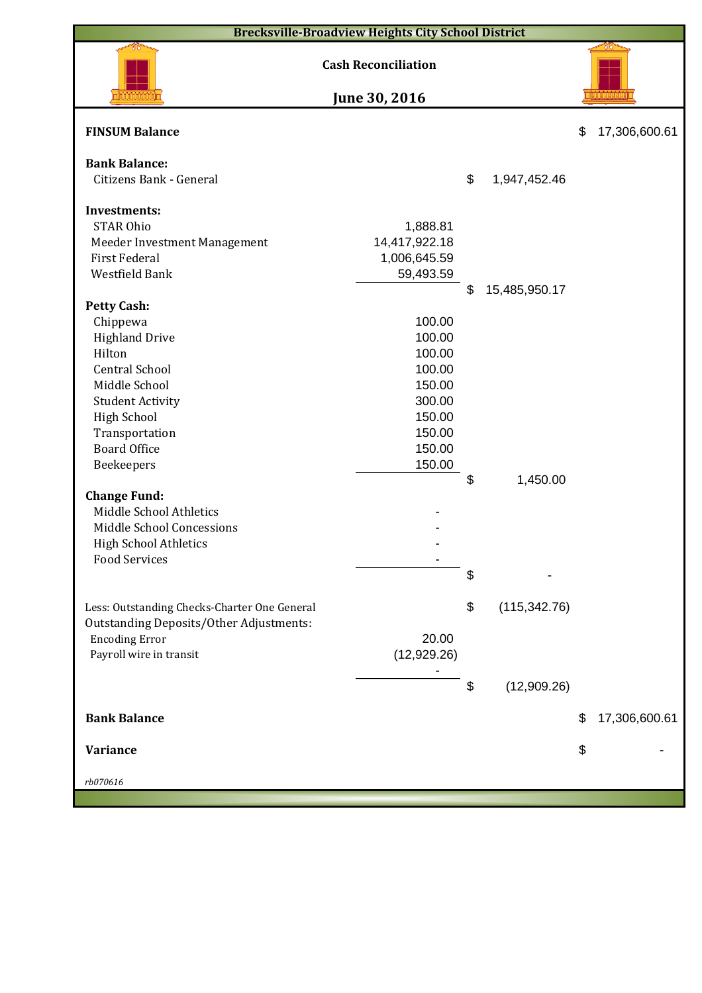| <b>Brecksville-Broadview Heights City School District</b> |                            |    |               |    |               |  |  |  |  |  |
|-----------------------------------------------------------|----------------------------|----|---------------|----|---------------|--|--|--|--|--|
|                                                           | <b>Cash Reconciliation</b> |    |               |    |               |  |  |  |  |  |
|                                                           | June 30, 2016              |    |               |    |               |  |  |  |  |  |
| <b>FINSUM Balance</b>                                     |                            |    |               | \$ | 17,306,600.61 |  |  |  |  |  |
| <b>Bank Balance:</b>                                      |                            |    |               |    |               |  |  |  |  |  |
| Citizens Bank - General                                   |                            | \$ | 1,947,452.46  |    |               |  |  |  |  |  |
| <b>Investments:</b>                                       |                            |    |               |    |               |  |  |  |  |  |
| <b>STAR Ohio</b>                                          | 1,888.81                   |    |               |    |               |  |  |  |  |  |
| Meeder Investment Management                              | 14,417,922.18              |    |               |    |               |  |  |  |  |  |
| <b>First Federal</b>                                      | 1,006,645.59               |    |               |    |               |  |  |  |  |  |
| Westfield Bank                                            | 59,493.59                  |    |               |    |               |  |  |  |  |  |
|                                                           |                            | \$ | 15,485,950.17 |    |               |  |  |  |  |  |
| <b>Petty Cash:</b>                                        |                            |    |               |    |               |  |  |  |  |  |
| Chippewa                                                  | 100.00                     |    |               |    |               |  |  |  |  |  |
| <b>Highland Drive</b>                                     | 100.00                     |    |               |    |               |  |  |  |  |  |
| Hilton                                                    | 100.00                     |    |               |    |               |  |  |  |  |  |
| <b>Central School</b>                                     | 100.00                     |    |               |    |               |  |  |  |  |  |
| Middle School                                             | 150.00                     |    |               |    |               |  |  |  |  |  |
| <b>Student Activity</b>                                   | 300.00                     |    |               |    |               |  |  |  |  |  |
| <b>High School</b>                                        | 150.00                     |    |               |    |               |  |  |  |  |  |
| Transportation                                            | 150.00                     |    |               |    |               |  |  |  |  |  |
| <b>Board Office</b>                                       | 150.00                     |    |               |    |               |  |  |  |  |  |
|                                                           | 150.00                     |    |               |    |               |  |  |  |  |  |
| Beekeepers                                                |                            | \$ | 1,450.00      |    |               |  |  |  |  |  |
| <b>Change Fund:</b>                                       |                            |    |               |    |               |  |  |  |  |  |
| Middle School Athletics                                   |                            |    |               |    |               |  |  |  |  |  |
| Middle School Concessions                                 |                            |    |               |    |               |  |  |  |  |  |
|                                                           |                            |    |               |    |               |  |  |  |  |  |
| <b>High School Athletics</b><br><b>Food Services</b>      |                            |    |               |    |               |  |  |  |  |  |
|                                                           |                            | \$ |               |    |               |  |  |  |  |  |
|                                                           |                            |    |               |    |               |  |  |  |  |  |
| Less: Outstanding Checks-Charter One General              |                            | \$ | (115, 342.76) |    |               |  |  |  |  |  |
| <b>Outstanding Deposits/Other Adjustments:</b>            |                            |    |               |    |               |  |  |  |  |  |
| <b>Encoding Error</b>                                     | 20.00                      |    |               |    |               |  |  |  |  |  |
| Payroll wire in transit                                   | (12,929.26)                |    |               |    |               |  |  |  |  |  |
|                                                           |                            |    |               |    |               |  |  |  |  |  |
|                                                           |                            | \$ | (12,909.26)   |    |               |  |  |  |  |  |
|                                                           |                            |    |               |    |               |  |  |  |  |  |
| <b>Bank Balance</b>                                       |                            |    |               | \$ | 17,306,600.61 |  |  |  |  |  |
|                                                           |                            |    |               |    |               |  |  |  |  |  |
| <b>Variance</b>                                           |                            |    |               | \$ |               |  |  |  |  |  |
|                                                           |                            |    |               |    |               |  |  |  |  |  |
| rb070616                                                  |                            |    |               |    |               |  |  |  |  |  |
|                                                           |                            |    |               |    |               |  |  |  |  |  |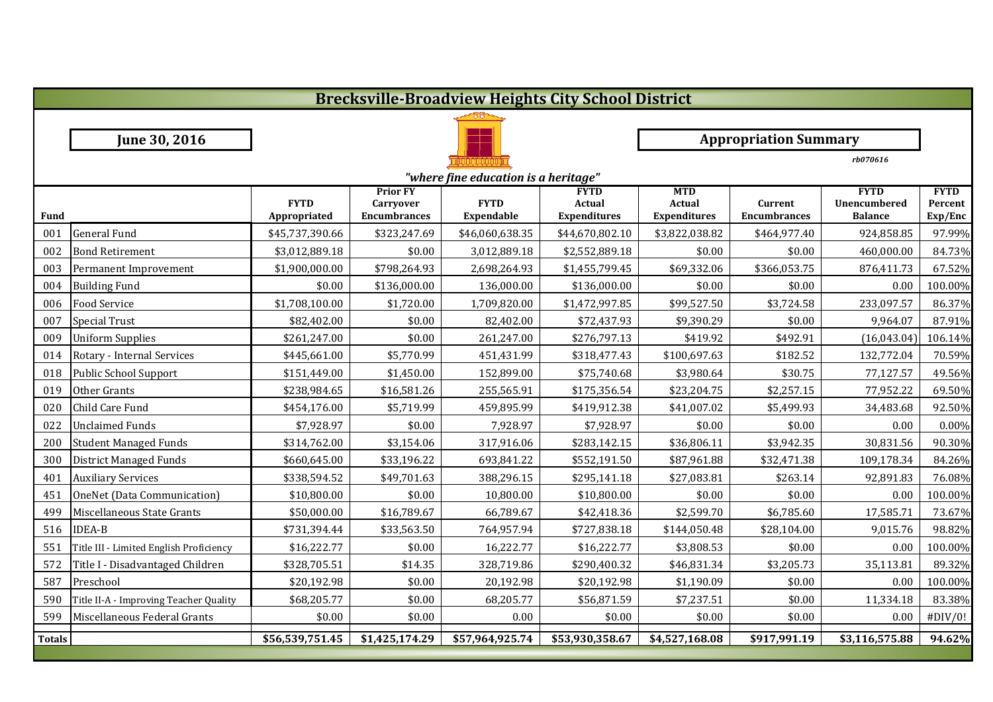|               |                                         |                             |                                                            |                                      | <b>Brecksville-Broadview Heights City School District</b> |                                             |                                |                                               |                                   |
|---------------|-----------------------------------------|-----------------------------|------------------------------------------------------------|--------------------------------------|-----------------------------------------------------------|---------------------------------------------|--------------------------------|-----------------------------------------------|-----------------------------------|
|               |                                         |                             |                                                            |                                      |                                                           |                                             |                                |                                               |                                   |
|               | June 30, 2016                           |                             |                                                            |                                      |                                                           |                                             | <b>Appropriation Summary</b>   |                                               |                                   |
|               |                                         |                             |                                                            |                                      |                                                           |                                             |                                | rb070616                                      |                                   |
|               |                                         |                             |                                                            | "where fine education is a heritage" |                                                           |                                             |                                |                                               |                                   |
| <b>Fund</b>   |                                         | <b>FYTD</b><br>Appropriated | <b>Prior FY</b><br><b>Carryover</b><br><b>Encumbrances</b> | <b>FYTD</b><br>Expendable            | <b>FYTD</b><br>Actual<br><b>Expenditures</b>              | <b>MTD</b><br>Actual<br><b>Expenditures</b> | Current<br><b>Encumbrances</b> | <b>FYTD</b><br>Unencumbered<br><b>Balance</b> | <b>FYTD</b><br>Percent<br>Exp/Enc |
| 001           | <b>General Fund</b>                     | \$45,737,390.66             | \$323,247.69                                               | \$46,060,638.35                      | \$44,670,802.10                                           | \$3,822,038.82                              | \$464,977.40                   | 924,858.85                                    | 97.99%                            |
| 002           | <b>Bond Retirement</b>                  | \$3,012,889.18              | \$0.00                                                     | 3,012,889.18                         | \$2,552,889.18                                            | \$0.00                                      | \$0.00                         | 460,000.00                                    | 84.73%                            |
| 003           | Permanent Improvement                   | \$1,900,000.00              | \$798,264.93                                               | 2,698,264.93                         | \$1,455,799.45                                            | \$69,332.06                                 | \$366,053.75                   | 876,411.73                                    | 67.52%                            |
| 004           | <b>Building Fund</b>                    | \$0.00                      | \$136,000.00                                               | 136,000.00                           | \$136,000.00                                              | \$0.00                                      | \$0.00                         | 0.00                                          | 100.00%                           |
| 006           | <b>Food Service</b>                     | \$1,708,100.00              | \$1,720.00                                                 | 1,709,820.00                         | \$1,472,997.85                                            | \$99,527.50                                 | \$3,724.58                     | 233,097.57                                    | 86.37%                            |
| 007           | <b>Special Trust</b>                    | \$82,402.00                 | \$0.00                                                     | 82,402.00                            | \$72,437.93                                               | \$9,390.29                                  | \$0.00                         | 9,964.07                                      | 87.91%                            |
| 009           | <b>Uniform Supplies</b>                 | \$261,247.00                | \$0.00                                                     | 261,247.00                           | \$276,797.13                                              | \$419.92                                    | \$492.91                       | (16,043.04)                                   | 106.14%                           |
| 014           | Rotary - Internal Services              | \$445,661.00                | \$5,770.99                                                 | 451,431.99                           | \$318,477.43                                              | \$100,697.63                                | \$182.52                       | 132,772.04                                    | 70.59%                            |
| 018           | Public School Support                   | \$151,449.00                | \$1,450.00                                                 | 152,899.00                           | \$75,740.68                                               | \$3,980.64                                  | \$30.75                        | 77,127.57                                     | 49.56%                            |
| 019           | Other Grants                            | \$238,984.65                | \$16,581.26                                                | 255,565.91                           | \$175,356.54                                              | \$23,204.75                                 | \$2,257.15                     | 77,952.22                                     | 69.50%                            |
| 020           | Child Care Fund                         | \$454,176.00                | \$5,719.99                                                 | 459,895.99                           | \$419,912.38                                              | \$41,007.02                                 | \$5,499.93                     | 34,483.68                                     | 92.50%                            |
| 022           | <b>Unclaimed Funds</b>                  | \$7,928.97                  | \$0.00                                                     | 7,928.97                             | \$7,928.97                                                | \$0.00                                      | \$0.00                         | 0.00                                          | 0.00%                             |
| 200           | <b>Student Managed Funds</b>            | \$314,762.00                | \$3,154.06                                                 | 317,916.06                           | \$283,142.15                                              | \$36,806.11                                 | \$3,942.35                     | 30,831.56                                     | 90.30%                            |
| 300           | <b>District Managed Funds</b>           | \$660,645.00                | \$33,196.22                                                | 693,841.22                           | \$552,191.50                                              | \$87,961.88                                 | \$32,471.38                    | 109,178.34                                    | 84.26%                            |
| 401           | <b>Auxiliary Services</b>               | \$338,594.52                | \$49,701.63                                                | 388,296.15                           | \$295,141.18                                              | \$27,083.81                                 | \$263.14                       | 92,891.83                                     | 76.08%                            |
| 451           | OneNet (Data Communication)             | \$10,800.00                 | \$0.00                                                     | 10,800.00                            | \$10,800.00                                               | \$0.00                                      | \$0.00                         | 0.00                                          | 100.00%                           |
| 499           | Miscellaneous State Grants              | \$50,000.00                 | \$16,789.67                                                | 66,789.67                            | \$42,418.36                                               | \$2,599.70                                  | \$6,785.60                     | 17,585.71                                     | 73.67%                            |
| 516           | <b>IDEA-B</b>                           | \$731,394.44                | \$33,563.50                                                | 764,957.94                           | \$727,838.18                                              | \$144,050.48                                | \$28,104.00                    | 9,015.76                                      | 98.82%                            |
| 551           | Title III - Limited English Proficiency | \$16,222.77                 | \$0.00                                                     | 16,222.77                            | \$16,222.77                                               | \$3,808.53                                  | \$0.00                         | 0.00                                          | 100.00%                           |
| 572           | Title I - Disadvantaged Children        | \$328,705.51                | \$14.35                                                    | 328,719.86                           | \$290,400.32                                              | \$46,831.34                                 | \$3,205.73                     | 35,113.81                                     | 89.32%                            |
| 587           | Preschool                               | \$20,192.98                 | \$0.00                                                     | 20,192.98                            | \$20,192.98                                               | \$1,190.09                                  | \$0.00                         | 0.00                                          | 100.00%                           |
| 590           | Title II-A - Improving Teacher Quality  | \$68,205.77                 | \$0.00                                                     | 68,205.77                            | \$56,871.59                                               | \$7,237.51                                  | \$0.00                         | 11,334.18                                     | 83.38%                            |
| 599           | Miscellaneous Federal Grants            | \$0.00                      | \$0.00                                                     | 0.00                                 | \$0.00                                                    | \$0.00                                      | \$0.00                         | 0.00                                          | #DIV/0!                           |
| <b>Totals</b> |                                         | \$56,539,751.45             | \$1,425,174.29                                             | \$57,964,925.74                      | \$53,930,358.67                                           | \$4,527,168.08                              | \$917,991.19                   | \$3,116,575.88                                | 94.62%                            |